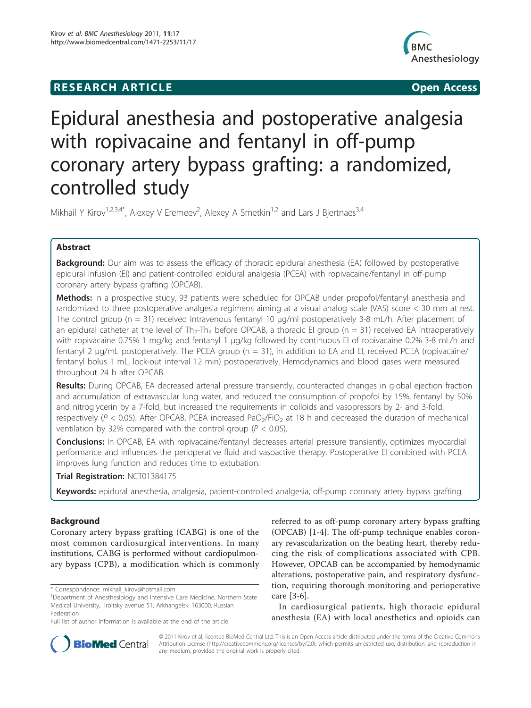## **RESEARCH ARTICLE Example 2018 CONSIDERING ACCESS**



# Epidural anesthesia and postoperative analgesia with ropivacaine and fentanyl in off-pump coronary artery bypass grafting: a randomized, controlled study

Mikhail Y Kirov<sup>1,2,3,4\*</sup>, Alexey V Eremeev<sup>2</sup>, Alexey A Smetkin<sup>1,2</sup> and Lars J Bjertnaes<sup>3,4</sup>

## Abstract

**Background:** Our aim was to assess the efficacy of thoracic epidural anesthesia (EA) followed by postoperative epidural infusion (EI) and patient-controlled epidural analgesia (PCEA) with ropivacaine/fentanyl in off-pump coronary artery bypass grafting (OPCAB).

Methods: In a prospective study, 93 patients were scheduled for OPCAB under propofol/fentanyl anesthesia and randomized to three postoperative analgesia regimens aiming at a visual analog scale (VAS) score < 30 mm at rest. The control group (n = 31) received intravenous fentanyl 10  $\mu$ g/ml postoperatively 3-8 mL/h. After placement of an epidural catheter at the level of Th<sub>2</sub>-Th<sub>4</sub> before OPCAB, a thoracic EI group (n = 31) received EA intraoperatively with ropivacaine 0.75% 1 mg/kg and fentanyl 1 μg/kg followed by continuous EI of ropivacaine 0.2% 3-8 mL/h and fentanyl 2 μg/mL postoperatively. The PCEA group (n = 31), in addition to EA and EI, received PCEA (ropivacaine/ fentanyl bolus 1 mL, lock-out interval 12 min) postoperatively. Hemodynamics and blood gases were measured throughout 24 h after OPCAB.

Results: During OPCAB, EA decreased arterial pressure transiently, counteracted changes in global ejection fraction and accumulation of extravascular lung water, and reduced the consumption of propofol by 15%, fentanyl by 50% and nitroglycerin by a 7-fold, but increased the requirements in colloids and vasopressors by 2- and 3-fold, respectively ( $P < 0.05$ ). After OPCAB, PCEA increased PaO<sub>2</sub>/FiO<sub>2</sub> at 18 h and decreased the duration of mechanical ventilation by 32% compared with the control group ( $P < 0.05$ ).

Conclusions: In OPCAB, EA with ropivacaine/fentanyl decreases arterial pressure transiently, optimizes myocardial performance and influences the perioperative fluid and vasoactive therapy. Postoperative EI combined with PCEA improves lung function and reduces time to extubation.

Trial Registration: [NCT01384175](http://www.clinicaltrials.gov/ct2/show/NCT01384175)

Keywords: epidural anesthesia, analgesia, patient-controlled analgesia, off-pump coronary artery bypass grafting

## Background

Coronary artery bypass grafting (CABG) is one of the most common cardiosurgical interventions. In many institutions, CABG is performed without cardiopulmonary bypass (CPB), a modification which is commonly

\* Correspondence: [mikhail\\_kirov@hotmail.com](mailto:mikhail_kirov@hotmail.com)

referred to as off-pump coronary artery bypass grafting (OPCAB) [\[1](#page-8-0)-[4\]](#page-8-0). The off-pump technique enables coronary revascularization on the beating heart, thereby reducing the risk of complications associated with CPB. However, OPCAB can be accompanied by hemodynamic alterations, postoperative pain, and respiratory dysfunction, requiring thorough monitoring and perioperative care [[3-6](#page-8-0)].

In cardiosurgical patients, high thoracic epidural anesthesia (EA) with local anesthetics and opioids can



© 2011 Kirov et al; licensee BioMed Central Ltd. This is an Open Access article distributed under the terms of the Creative Commons Attribution License [\(http://creativecommons.org/licenses/by/2.0](http://creativecommons.org/licenses/by/2.0)), which permits unrestricted use, distribution, and reproduction in any medium, provided the original work is properly cited.

<sup>&</sup>lt;sup>1</sup>Department of Anesthesiology and Intensive Care Medicine, Northern State Medical University, Troitsky avenue 51, Arkhangelsk, 163000, Russian Federation

Full list of author information is available at the end of the article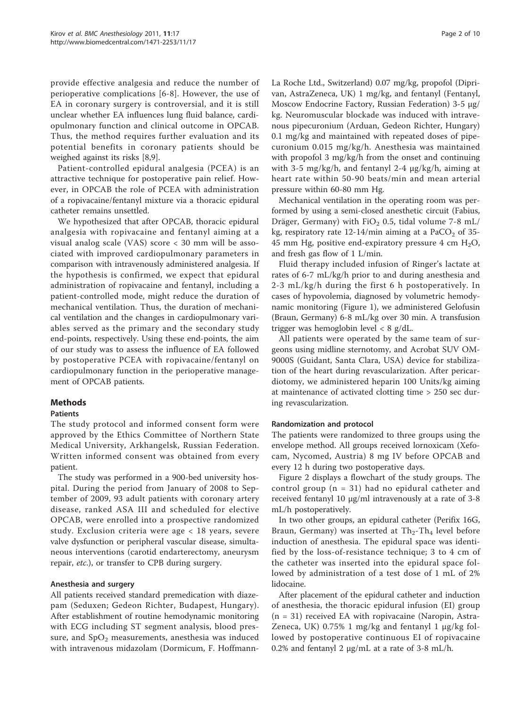provide effective analgesia and reduce the number of perioperative complications [[6-](#page-8-0)[8](#page-9-0)]. However, the use of EA in coronary surgery is controversial, and it is still unclear whether EA influences lung fluid balance, cardiopulmonary function and clinical outcome in OPCAB. Thus, the method requires further evaluation and its potential benefits in coronary patients should be weighed against its risks [\[8,9](#page-9-0)].

Patient-controlled epidural analgesia (PCEA) is an attractive technique for postoperative pain relief. However, in OPCAB the role of PCEA with administration of a ropivacaine/fentanyl mixture via a thoracic epidural catheter remains unsettled.

We hypothesized that after OPCAB, thoracic epidural analgesia with ropivacaine and fentanyl aiming at a visual analog scale (VAS) score < 30 mm will be associated with improved cardiopulmonary parameters in comparison with intravenously administered analgesia. If the hypothesis is confirmed, we expect that epidural administration of ropivacaine and fentanyl, including a patient-controlled mode, might reduce the duration of mechanical ventilation. Thus, the duration of mechanical ventilation and the changes in cardiopulmonary variables served as the primary and the secondary study end-points, respectively. Using these end-points, the aim of our study was to assess the influence of EA followed by postoperative PCEA with ropivacaine/fentanyl on cardiopulmonary function in the perioperative management of OPCAB patients.

## Methods

## Patients

The study protocol and informed consent form were approved by the Ethics Committee of Northern State Medical University, Arkhangelsk, Russian Federation. Written informed consent was obtained from every patient.

The study was performed in a 900-bed university hospital. During the period from January of 2008 to September of 2009, 93 adult patients with coronary artery disease, ranked ASA III and scheduled for elective OPCAB, were enrolled into a prospective randomized study. Exclusion criteria were age < 18 years, severe valve dysfunction or peripheral vascular disease, simultaneous interventions (carotid endarterectomy, aneurysm repair, etc.), or transfer to CPB during surgery.

## Anesthesia and surgery

All patients received standard premedication with diazepam (Seduxen; Gedeon Richter, Budapest, Hungary). After establishment of routine hemodynamic monitoring with ECG including ST segment analysis, blood pressure, and  $SpO<sub>2</sub>$  measurements, anesthesia was induced with intravenous midazolam (Dormicum, F. HoffmannLa Roche Ltd., Switzerland) 0.07 mg/kg, propofol (Diprivan, AstraZeneca, UK) 1 mg/kg, and fentanyl (Fentanyl, Moscow Endocrine Factory, Russian Federation) 3-5 μg/ kg. Neuromuscular blockade was induced with intravenous pipecuronium (Arduan, Gedeon Richter, Hungary) 0.1 mg/kg and maintained with repeated doses of pipecuronium 0.015 mg/kg/h. Anesthesia was maintained with propofol 3 mg/kg/h from the onset and continuing with 3-5 mg/kg/h, and fentanyl 2-4  $\mu$ g/kg/h, aiming at heart rate within 50-90 beats/min and mean arterial pressure within 60-80 mm Hg.

Mechanical ventilation in the operating room was performed by using a semi-closed anesthetic circuit (Fabius, Dräger, Germany) with  $FiO<sub>2</sub>$  0.5, tidal volume 7-8 mL/ kg, respiratory rate 12-14/min aiming at a  $PaCO<sub>2</sub>$  of 35-45 mm Hg, positive end-expiratory pressure 4 cm  $H_2O$ , and fresh gas flow of 1 L/min.

Fluid therapy included infusion of Ringer's lactate at rates of 6-7 mL/kg/h prior to and during anesthesia and 2-3 mL/kg/h during the first 6 h postoperatively. In cases of hypovolemia, diagnosed by volumetric hemodynamic monitoring (Figure [1\)](#page-2-0), we administered Gelofusin (Braun, Germany) 6-8 mL/kg over 30 min. A transfusion trigger was hemoglobin level < 8 g/dL.

All patients were operated by the same team of surgeons using midline sternotomy, and Acrobat SUV OM-9000S (Guidant, Santa Clara, USA) device for stabilization of the heart during revascularization. After pericardiotomy, we administered heparin 100 Units/kg aiming at maintenance of activated clotting time > 250 sec during revascularization.

## Randomization and protocol

The patients were randomized to three groups using the envelope method. All groups received lornoxicam (Xefocam, Nycomed, Austria) 8 mg IV before OPCAB and every 12 h during two postoperative days.

Figure [2](#page-3-0) displays a flowchart of the study groups. The control group  $(n = 31)$  had no epidural catheter and received fentanyl 10 μg/ml intravenously at a rate of 3-8 mL/h postoperatively.

In two other groups, an epidural catheter (Perifix 16G, Braun, Germany) was inserted at  $Th_2-Th_4$  level before induction of anesthesia. The epidural space was identified by the loss-of-resistance technique; 3 to 4 cm of the catheter was inserted into the epidural space followed by administration of a test dose of 1 mL of 2% lidocaine.

After placement of the epidural catheter and induction of anesthesia, the thoracic epidural infusion (EI) group (n = 31) received EA with ropivacaine (Naropin, Astra-Zeneca, UK) 0.75% 1 mg/kg and fentanyl 1 μg/kg followed by postoperative continuous EI of ropivacaine 0.2% and fentanyl 2 μg/mL at a rate of 3-8 mL/h.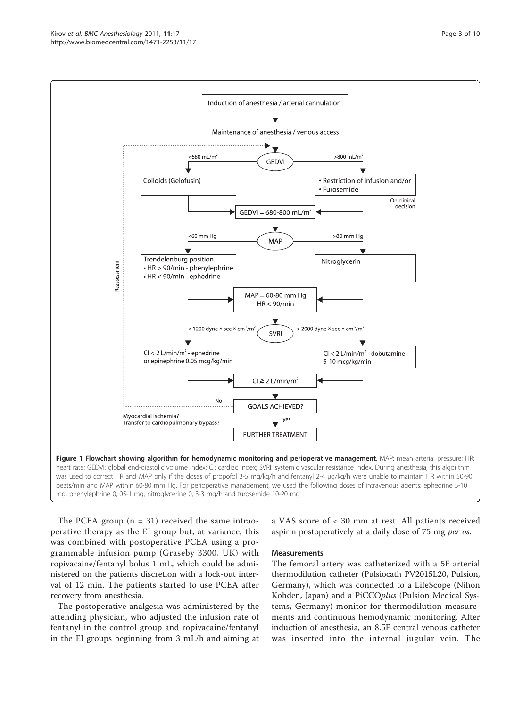<span id="page-2-0"></span>

The PCEA group  $(n = 31)$  received the same intraoperative therapy as the EI group but, at variance, this was combined with postoperative PCEA using a programmable infusion pump (Graseby 3300, UK) with ropivacaine/fentanyl bolus 1 mL, which could be administered on the patients discretion with a lock-out interval of 12 min. The patients started to use PCEA after recovery from anesthesia.

The postoperative analgesia was administered by the attending physician, who adjusted the infusion rate of fentanyl in the control group and ropivacaine/fentanyl in the EI groups beginning from 3 mL/h and aiming at a VAS score of < 30 mm at rest. All patients received aspirin postoperatively at a daily dose of 75 mg per os.

## **Measurements**

The femoral artery was catheterized with a 5F arterial thermodilution catheter (Pulsiocath PV2015L20, Pulsion, Germany), which was connected to a LifeScope (Nihon Kohden, Japan) and a PiCCOplus (Pulsion Medical Systems, Germany) monitor for thermodilution measurements and continuous hemodynamic monitoring. After induction of anesthesia, an 8.5F central venous catheter was inserted into the internal jugular vein. The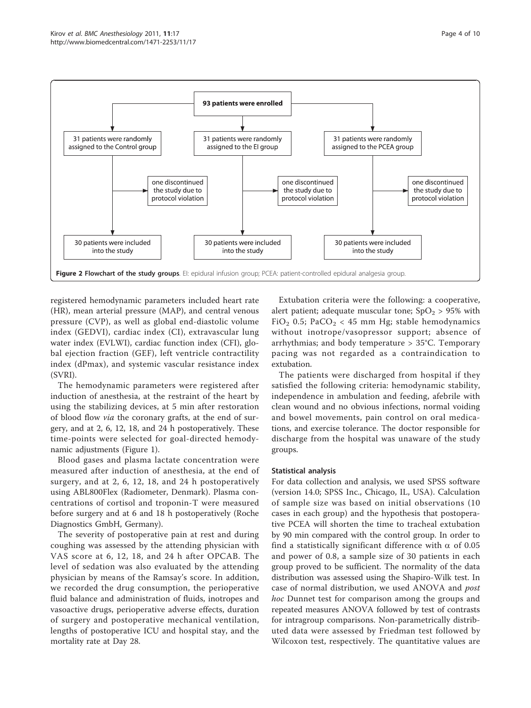<span id="page-3-0"></span>

registered hemodynamic parameters included heart rate (HR), mean arterial pressure (MAP), and central venous pressure (CVP), as well as global end-diastolic volume index (GEDVI), cardiac index (CI), extravascular lung water index (EVLWI), cardiac function index (CFI), global ejection fraction (GEF), left ventricle contractility index (dPmax), and systemic vascular resistance index (SVRI).

The hemodynamic parameters were registered after induction of anesthesia, at the restraint of the heart by using the stabilizing devices, at 5 min after restoration of blood flow via the coronary grafts, at the end of surgery, and at 2, 6, 12, 18, and 24 h postoperatively. These time-points were selected for goal-directed hemodynamic adjustments (Figure [1\)](#page-2-0).

Blood gases and plasma lactate concentration were measured after induction of anesthesia, at the end of surgery, and at 2, 6, 12, 18, and 24 h postoperatively using ABL800Flex (Radiometer, Denmark). Plasma concentrations of cortisol and troponin-T were measured before surgery and at 6 and 18 h postoperatively (Roche Diagnostics GmbH, Germany).

The severity of postoperative pain at rest and during coughing was assessed by the attending physician with VAS score at 6, 12, 18, and 24 h after OPCAB. The level of sedation was also evaluated by the attending physician by means of the Ramsay's score. In addition, we recorded the drug consumption, the perioperative fluid balance and administration of fluids, inotropes and vasoactive drugs, perioperative adverse effects, duration of surgery and postoperative mechanical ventilation, lengths of postoperative ICU and hospital stay, and the mortality rate at Day 28.

Extubation criteria were the following: a cooperative, alert patient; adequate muscular tone;  $SpO<sub>2</sub> > 95%$  with FiO<sub>2</sub> 0.5; PaCO<sub>2</sub> < 45 mm Hg; stable hemodynamics without inotrope/vasopressor support; absence of arrhythmias; and body temperature > 35°C. Temporary pacing was not regarded as a contraindication to extubation.

The patients were discharged from hospital if they satisfied the following criteria: hemodynamic stability, independence in ambulation and feeding, afebrile with clean wound and no obvious infections, normal voiding and bowel movements, pain control on oral medications, and exercise tolerance. The doctor responsible for discharge from the hospital was unaware of the study groups.

#### Statistical analysis

For data collection and analysis, we used SPSS software (version 14.0; SPSS Inc., Chicago, IL, USA). Calculation of sample size was based on initial observations (10 cases in each group) and the hypothesis that postoperative PCEA will shorten the time to tracheal extubation by 90 min compared with the control group. In order to find a statistically significant difference with  $\alpha$  of 0.05 and power of 0.8, a sample size of 30 patients in each group proved to be sufficient. The normality of the data distribution was assessed using the Shapiro-Wilk test. In case of normal distribution, we used ANOVA and post hoc Dunnet test for comparison among the groups and repeated measures ANOVA followed by test of contrasts for intragroup comparisons. Non-parametrically distributed data were assessed by Friedman test followed by Wilcoxon test, respectively. The quantitative values are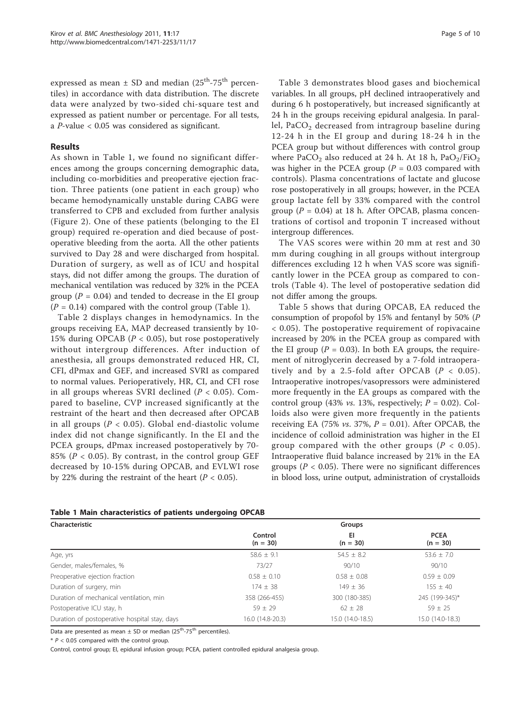expressed as mean  $\pm$  SD and median (25<sup>th</sup>-75<sup>th</sup> percentiles) in accordance with data distribution. The discrete data were analyzed by two-sided chi-square test and expressed as patient number or percentage. For all tests, a P-value < 0.05 was considered as significant.

## Results

As shown in Table 1, we found no significant differences among the groups concerning demographic data, including co-morbidities and preoperative ejection fraction. Three patients (one patient in each group) who became hemodynamically unstable during CABG were transferred to CPB and excluded from further analysis (Figure [2](#page-3-0)). One of these patients (belonging to the EI group) required re-operation and died because of postoperative bleeding from the aorta. All the other patients survived to Day 28 and were discharged from hospital. Duration of surgery, as well as of ICU and hospital stays, did not differ among the groups. The duration of mechanical ventilation was reduced by 32% in the PCEA group ( $P = 0.04$ ) and tended to decrease in the EI group  $(P = 0.14)$  compared with the control group (Table 1).

Table [2](#page-5-0) displays changes in hemodynamics. In the groups receiving EA, MAP decreased transiently by 10- 15% during OPCAB ( $P < 0.05$ ), but rose postoperatively without intergroup differences. After induction of anesthesia, all groups demonstrated reduced HR, CI, CFI, dPmax and GEF, and increased SVRI as compared to normal values. Perioperatively, HR, CI, and CFI rose in all groups whereas SVRI declined ( $P < 0.05$ ). Compared to baseline, CVP increased significantly at the restraint of the heart and then decreased after OPCAB in all groups ( $P < 0.05$ ). Global end-diastolic volume index did not change significantly. In the EI and the PCEA groups, dPmax increased postoperatively by 70- 85% ( $P < 0.05$ ). By contrast, in the control group GEF decreased by 10-15% during OPCAB, and EVLWI rose by 22% during the restraint of the heart ( $P < 0.05$ ).

Table [3](#page-6-0) demonstrates blood gases and biochemical variables. In all groups, pH declined intraoperatively and during 6 h postoperatively, but increased significantly at 24 h in the groups receiving epidural analgesia. In parallel, PaCO<sub>2</sub> decreased from intragroup baseline during 12-24 h in the EI group and during 18-24 h in the PCEA group but without differences with control group where PaCO<sub>2</sub> also reduced at 24 h. At 18 h, PaO<sub>2</sub>/FiO<sub>2</sub> was higher in the PCEA group ( $P = 0.03$  compared with controls). Plasma concentrations of lactate and glucose rose postoperatively in all groups; however, in the PCEA group lactate fell by 33% compared with the control group ( $P = 0.04$ ) at 18 h. After OPCAB, plasma concentrations of cortisol and troponin T increased without intergroup differences.

The VAS scores were within 20 mm at rest and 30 mm during coughing in all groups without intergroup differences excluding 12 h when VAS score was significantly lower in the PCEA group as compared to controls (Table [4\)](#page-6-0). The level of postoperative sedation did not differ among the groups.

Table [5](#page-7-0) shows that during OPCAB, EA reduced the consumption of propofol by 15% and fentanyl by 50% (P < 0.05). The postoperative requirement of ropivacaine increased by 20% in the PCEA group as compared with the EI group ( $P = 0.03$ ). In both EA groups, the requirement of nitroglycerin decreased by a 7-fold intraoperatively and by a 2.5-fold after OPCAB ( $P < 0.05$ ). Intraoperative inotropes/vasopressors were administered more frequently in the EA groups as compared with the control group (43% *vs.* 13%, respectively;  $P = 0.02$ ). Colloids also were given more frequently in the patients receiving EA (75% *vs.* 37%,  $P = 0.01$ ). After OPCAB, the incidence of colloid administration was higher in the EI group compared with the other groups ( $P < 0.05$ ). Intraoperative fluid balance increased by 21% in the EA groups ( $P < 0.05$ ). There were no significant differences in blood loss, urine output, administration of crystalloids

| Characteristic                                |                       |                  |                           |  |
|-----------------------------------------------|-----------------------|------------------|---------------------------|--|
|                                               | Control<br>$(n = 30)$ | EI<br>$(n = 30)$ | <b>PCEA</b><br>$(n = 30)$ |  |
| Age, yrs                                      | $58.6 \pm 9.1$        | $54.5 \pm 8.2$   | $53.6 \pm 7.0$            |  |
| Gender, males/females, %                      | 73/27                 | 90/10            | 90/10                     |  |
| Preoperative ejection fraction                | $0.58 \pm 0.10$       | $0.58 \pm 0.08$  | $0.59 \pm 0.09$           |  |
| Duration of surgery, min                      | $174 + 38$            | $149 \pm 36$     | $155 \pm 40$              |  |
| Duration of mechanical ventilation, min       | 358 (266-455)         | 300 (180-385)    | 245 (199-345)*            |  |
| Postoperative ICU stay, h                     | $59 \pm 29$           | $62 \pm 28$      | $59 \pm 25$               |  |
| Duration of postoperative hospital stay, days | 16.0 (14.8-20.3)      | 15.0 (14.0-18.5) | 15.0 (14.0-18.3)          |  |

#### Table 1 Main characteristics of patients undergoing OPCAB

Data are presented as mean  $\pm$  SD or median (25<sup>th</sup>-75<sup>th</sup> percentiles).

 $* P < 0.05$  compared with the control group.

Control, control group; EI, epidural infusion group; PCEA, patient controlled epidural analgesia group.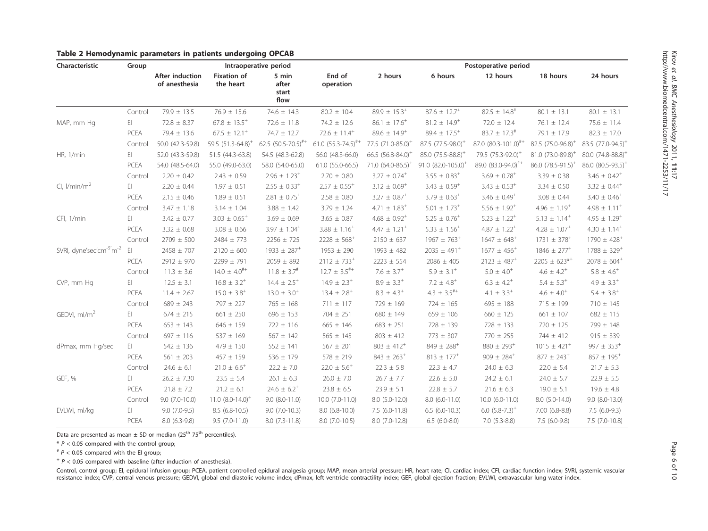Kirov

2011,

11:17

| Characteristic                                   | Group   | Intraoperative period            |                                 |                                 | Postoperative period         |                               |                                |                                 |                               |                               |
|--------------------------------------------------|---------|----------------------------------|---------------------------------|---------------------------------|------------------------------|-------------------------------|--------------------------------|---------------------------------|-------------------------------|-------------------------------|
|                                                  |         | After induction<br>of anesthesia | <b>Fixation of</b><br>the heart | 5 min<br>after<br>start<br>flow | End of<br>operation          | 2 hours                       | 6 hours                        | 12 hours                        | 18 hours                      | 24 hours                      |
|                                                  | Control | 79.9 ± 13.5                      | $76.9 \pm 15.6$                 | $74.6 \pm 14.3$                 | $80.2 \pm 10.4$              | $89.9 \pm 15.3$ <sup>+</sup>  | $87.6 \pm 12.7$ <sup>+</sup>   | $82.5 \pm 14.8^{\text{\#}}$     | $80.1 \pm 13.1$               | $80.1 \pm 13.1$               |
| MAP, mm Hg                                       | E1      | $72.8 \pm 8.37$                  | $67.8 \pm 13.5^+$               | $72.6 \pm 11.8$                 | $74.2 \pm 12.6$              | $86.1 \pm 17.6^+$             | $81.2 \pm 14.9^{+}$            | $72.0 \pm 12.4$                 | $76.1 \pm 12.4$               | $75.6 \pm 11.4$               |
|                                                  | PCEA    | 79.4 ± 13.6                      | $67.5 \pm 12.1$ <sup>+</sup>    | $74.7 \pm 12.7$                 | $72.6 \pm 11.4$ <sup>+</sup> | $89.6 \pm 14.9^{+}$           | $89.4 \pm 17.5^{+}$            | $83.7 \pm 17.3^{\#}$            | 79.1 ± 17.9                   | $82.3 \pm 17.0$               |
|                                                  | Control | 50.0 (42.3-59.8)                 | 59.5 (51.3-64.8) <sup>+</sup>   | 62.5 $(50.5 - 70.5)^{++}$       | 61.0 $(55.3 - 74.5)^{++}$    | 77.5 (71.0-85.0) <sup>+</sup> | 87.5 (77.5-98.0) <sup>+</sup>  | 87.0 (80.3-101.0) <sup>#+</sup> | 82.5 (75.0-96.8) <sup>+</sup> | 83.5 (77.0-94.5) <sup>+</sup> |
| HR, 1/min                                        | E       | 52.0 (43.3-59.8)                 | 51.5 (44.3-63.8)                | 54.5 (48.3-62.8)                | 56.0 (48.3-66.0)             | 66.5 $(56.8 - 84.0)^+$        | 85.0 (75.5-88.8) <sup>+</sup>  | 79.5 (75.3-92.0) <sup>+</sup>   | $81.0 (73.0 - 89.8)^+$        | 80.0 (74.8-88.8) <sup>+</sup> |
|                                                  | PCEA    | 54.0 (48.5-64.0)                 | 55.0 (49.0-63.0)                | 58.0 (54.0-65.0)                | 61.0 (55.0-66.5)             | 71.0 $(64.0 - 86.5)^+$        | 91.0 (82.0-105.0) <sup>+</sup> | 89.0 (83.0-94.0) <sup>#+</sup>  | 86.0 (78.5-91.5) <sup>+</sup> | 86.0 (80.5-93.5) <sup>+</sup> |
|                                                  | Control | $2.20 \pm 0.42$                  | $2.43 \pm 0.59$                 | $2.96 \pm 1.23^{+}$             | $2.70 \pm 0.80$              | $3.27 \pm 0.74$ <sup>+</sup>  | $3.55 \pm 0.83$ <sup>+</sup>   | $3.69 \pm 0.78^{+}$             | $3.39 \pm 0.38$               | $3.46 \pm 0.42$ <sup>+</sup>  |
| CI, $1/\text{min/m}^2$                           | EI.     | $2.20 \pm 0.44$                  | $1.97 \pm 0.51$                 | $2.55 \pm 0.33$ <sup>+</sup>    | $2.57 \pm 0.55^{+}$          | $3.12 \pm 0.69^{+}$           | $3.43 \pm 0.59^{+}$            | $3.43 \pm 0.53$ <sup>+</sup>    | $3.34 \pm 0.50$               | $3.32 \pm 0.44$ <sup>+</sup>  |
|                                                  | PCEA    | $2.15 \pm 0.46$                  | $1.89 \pm 0.51$                 | $2.81 \pm 0.75$ <sup>+</sup>    | $2.58 \pm 0.80$              | $3.27 \pm 0.87$ <sup>+</sup>  | $3.79 \pm 0.63$ <sup>+</sup>   | $3.46 \pm 0.49^{+}$             | $3.08 \pm 0.44$               | $3.40 \pm 0.46^+$             |
|                                                  | Control | $3.47 \pm 1.18$                  | $3.14 \pm 1.04$                 | $3.88 \pm 1.42$                 | $3.79 \pm 1.24$              | $4.71 \pm 1.83$ <sup>+</sup>  | $5.01 \pm 1.73$ <sup>+</sup>   | $5.56 \pm 1.92^{+}$             | $4.96 \pm 1.19^{+}$           | $4.98 \pm 1.11^{+}$           |
| CFI, 1/min                                       | EI      | $3.42 \pm 0.77$                  | $3.03 \pm 0.65$ <sup>+</sup>    | $3.69 \pm 0.69$                 | $3.65 \pm 0.87$              | $4.68 \pm 0.92$ <sup>+</sup>  | $5.25 \pm 0.76^{+}$            | $5.23 \pm 1.22$ <sup>+</sup>    | $5.13 \pm 1.14^{+}$           | $4.95 \pm 1.29^{+}$           |
|                                                  | PCEA    | $3.32 \pm 0.68$                  | $3.08 \pm 0.66$                 | $3.97 \pm 1.04$ <sup>+</sup>    | $3.88 \pm 1.16^{+}$          | $4.47 \pm 1.21$ <sup>+</sup>  | $5.33 \pm 1.56^{+}$            | $4.87 \pm 1.22^{+}$             | $4.28 \pm 1.07$ <sup>+</sup>  | $4.30 \pm 1.14^{+}$           |
|                                                  | Control | $2709 \pm 500$                   | 2484 ± 773                      | $2256 \pm 725$                  | $2228 \pm 568^{+}$           | $2150 \pm 637$                | $1967 \pm 763$ <sup>+</sup>    | $1647 \pm 648$ <sup>+</sup>     | $1731 \pm 378$ <sup>+</sup>   | $1790 \pm 428$ <sup>+</sup>   |
| SVRI, dyne'sec'cm <sup>-5'</sup> m <sup>-2</sup> | E1      | $2458 \pm 707$                   | $2120 \pm 600$                  | $1933 \pm 287$ <sup>+</sup>     | $1953 \pm 290$               | $1993 \pm 482$                | $2035 \pm 491$ <sup>+</sup>    | $1677 \pm 456^+$                | $1846 \pm 277$ <sup>+</sup>   | $1788 \pm 329^{+}$            |
|                                                  | PCEA    | $2912 \pm 970$                   | 2299 ± 791                      | $2059 \pm 892$                  | $2112 \pm 733^{+}$           | $2223 \pm 554$                | $2086 \pm 405$                 | $2123 \pm 487^{+}$              | $2205 \pm 623^{*+}$           | $2078 \pm 604$ <sup>+</sup>   |
|                                                  | Control | $11.3 \pm 3.6$                   | $14.0 \pm 4.0^{#+}$             | $11.8 \pm 3.7^{\#}$             | $12.7 \pm 3.5^{++}$          | $7.6 \pm 3.7^{+}$             | $5.9 \pm 3.1^{+}$              | $5.0 \pm 4.0^{+}$               | $4.6 \pm 4.2$ <sup>+</sup>    | $5.8 \pm 4.6^{+}$             |
| CVP, mm Hq                                       | EI.     | $12.5 \pm 3.1$                   | $16.8 \pm 3.2$ <sup>+</sup>     | $14.4 \pm 2.5$ <sup>+</sup>     | $14.9 \pm 2.3$ <sup>+</sup>  | $8.9 \pm 3.3^{+}$             | 7.2 $\pm$ 4.8 <sup>+</sup>     | $6.3 \pm 4.2^{+}$               | $5.4 \pm 5.3$ <sup>+</sup>    | $4.9 \pm 3.3^{+}$             |
|                                                  | PCEA    | $11.4 \pm 2.67$                  | $15.0 \pm 3.8^{+}$              | $13.0 \pm 3.0^{+}$              | $13.4 \pm 2.8$ <sup>+</sup>  | $8.3 \pm 4.3$ <sup>+</sup>    | $4.3 \pm 3.5^{++}$             | 4.1 $\pm$ 3.3 <sup>+</sup>      | $4.6 \pm 4.0^{+}$             | $5.4 \pm 3.8^{+}$             |
|                                                  | Control | $689 \pm 243$                    | 797 ± 227                       | $765 \pm 168$                   | $711 \pm 117$                | $729 \pm 169$                 | $724 \pm 165$                  | $695 \pm 188$                   | $715 \pm 199$                 | 710 ± 145                     |
| GEDVI, $ml/m2$                                   | EI.     | $674 \pm 215$                    | $661 \pm 250$                   | $696 \pm 153$                   | $704 \pm 251$                | $680 \pm 149$                 | $659 \pm 106$                  | $660 \pm 125$                   | $661 \pm 107$                 | $682 \pm 115$                 |
|                                                  | PCEA    | $653 \pm 143$                    | $646 \pm 159$                   | $722 \pm 116$                   | $665 \pm 146$                | $683 \pm 251$                 | $728 \pm 139$                  | $728 \pm 133$                   | 720 ± 125                     | 799 ± 148                     |
|                                                  | Control | $697 \pm 116$                    | $537 \pm 169$                   | $567 \pm 142$                   | $565 \pm 145$                | $803 \pm 412$                 | $773 \pm 307$                  | $770 \pm 255$                   | $744 \pm 412$                 | $915 \pm 339$                 |
| dPmax, mm Hg/sec                                 | EI.     | $542 \pm 136$                    | $479 \pm 150$                   | $552 \pm 141$                   | $567 \pm 201$                | $803 \pm 412^{+}$             | $849 \pm 288$ <sup>+</sup>     | $880 \pm 293$ <sup>+</sup>      | $1015 \pm 421$ <sup>+</sup>   | $997 \pm 353^{+}$             |
|                                                  | PCEA    | $561 \pm 203$                    | $457 \pm 159$                   | $536 \pm 179$                   | $578 \pm 219$                | $843 \pm 263$ <sup>+</sup>    | $813 \pm 177^{+}$              | $909 \pm 284$ <sup>+</sup>      | $877 \pm 243$ <sup>+</sup>    | $857 \pm 195^{+}$             |
|                                                  | Control | $24.6 \pm 6.1$                   | $21.0 \pm 6.6^+$                | $22.2 \pm 7.0$                  | $22.0 \pm 5.6^+$             | $22.3 \pm 5.8$                | $22.3 \pm 4.7$                 | $24.0 \pm 6.3$                  | $22.0 \pm 5.4$                | $21.7 \pm 5.3$                |
| GEF, %                                           | EI.     | $26.2 \pm 7.30$                  | $23.5 \pm 5.4$                  | $26.1 \pm 6.3$                  | $26.0 \pm 7.0$               | $26.7 \pm 7.7$                | $22.6 \pm 5.0$                 | $24.2 \pm 6.1$                  | $24.0 \pm 5.7$                | $22.9 \pm 5.5$                |
|                                                  | PCEA    | $21.8 \pm 7.2$                   | $21.2 \pm 6.1$                  | $24.6 \pm 6.2^{+}$              | $23.8 \pm 6.5$               | $23.9 \pm 5.1$                | $22.8 \pm 5.7$                 | $21.6 \pm 6.3$                  | $19.0 \pm 5.1$                | $19.6 \pm 4.8$                |
|                                                  | Control | $9.0(7.0-10.0)$                  | 11.0 $(8.0-14.0)^+$             | $9.0$ $(8.0 - 11.0)$            | $10.0$ $(7.0 - 11.0)$        | 8.0 (5.0-12.0)                | 8.0 (6.0-11.0)                 | $10.0 (6.0 - 11.0)$             | 8.0 (5.0-14.0)                | $9.0 (8.0 - 13.0)$            |
| EVLWI, ml/kg                                     | EI.     | $9.0(7.0-9.5)$                   | 8.5 (6.8-10.5)                  | $9.0(7.0-10.3)$                 | $8.0(6.8-10.0)$              | $7.5(6.0-11.8)$               | $6.5(6.0-10.3)$                | 6.0 $(5.8-7.3)^+$               | $7.00(6.8-8.8)$               | $7.5(6.0-9.3)$                |
|                                                  | PCEA    | $8.0(6.3-9.8)$                   | $9.5(7.0-11.0)$                 | 8.0 (7.3-11.8)                  | 8.0 (7.0-10.5)               | 8.0 (7.0-12.8)                | $6.5(6.0-8.0)$                 | $7.0(5.3-8.8)$                  | $7.5(6.0-9.8)$                | $7.5(7.0-10.8)$               |

## <span id="page-5-0"></span>Table 2 Hemodynamic parameters in patients undergoing OPCAB

Data are presented as mean  $\pm$  SD or median (25<sup>th</sup>-75<sup>th</sup> percentiles).

 $*$   $P$  < 0.05 compared with the control group;

 $^{\#}$  P < 0.05 compared with the EI group;

 $+ P < 0.05$  compared with baseline (after induction of anesthesia).

Control, control group; EI, epidural infusion group; PCEA, patient controlled epidural analgesia group; MAP, mean arterial pressure; HR, heart rate; CI, cardiac index; CFI, cardiac function index; SVRI, systemic vascular resistance index; CVP, central venous pressure; GEDVI, global end-diastolic volume index; dPmax, left ventricle contractility index; GEF, global ejection fraction; EVLWI, extravascular lung water index.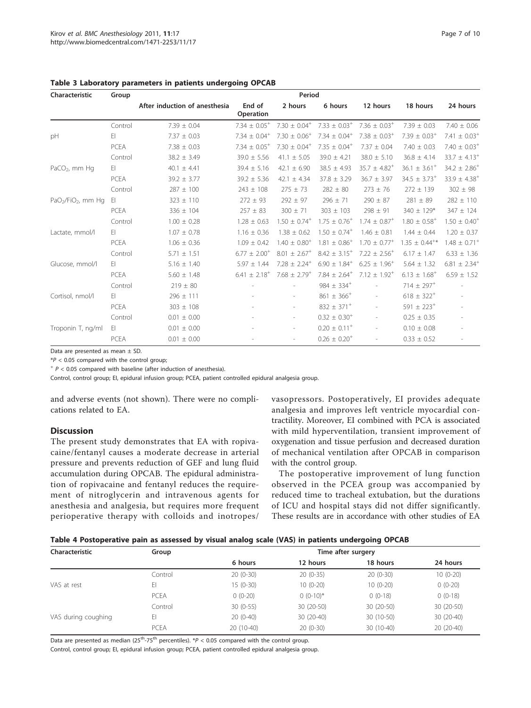| Characteristic                             | Group       | Period                        |                              |                              |                              |                              |                              |                              |  |
|--------------------------------------------|-------------|-------------------------------|------------------------------|------------------------------|------------------------------|------------------------------|------------------------------|------------------------------|--|
|                                            |             | After induction of anesthesia | End of<br>Operation          | 2 hours                      | 6 hours                      | 12 hours                     | 18 hours                     | 24 hours                     |  |
|                                            | Control     | $7.39 \pm 0.04$               | $7.34 \pm 0.05$ <sup>+</sup> | $7.30 \pm 0.04$ <sup>+</sup> | $7.33 \pm 0.03$ <sup>+</sup> | 7.36 $\pm$ 0.03 <sup>+</sup> | $7.39 \pm 0.03$              | $7.40 \pm 0.06$              |  |
| pH                                         | EI          | $7.37 \pm 0.03$               | 7.34 $\pm$ 0.04 <sup>+</sup> | $7.30 \pm 0.06^+$            | 7.34 $\pm$ 0.04 <sup>+</sup> | $7.38 \pm 0.03$ <sup>+</sup> | 7.39 $\pm$ 0.03 <sup>+</sup> | $7.41 \pm 0.03$ <sup>+</sup> |  |
|                                            | PCEA        | $7.38 \pm 0.03$               | 7.34 $\pm$ 0.05 <sup>+</sup> | 7.30 $\pm$ 0.04 <sup>+</sup> | 7.35 $\pm$ 0.04 <sup>+</sup> | $7.37 \pm 0.04$              | $7.40 \pm 0.03$              | 7.40 $\pm$ 0.03 <sup>+</sup> |  |
|                                            | Control     | $38.2 \pm 3.49$               | $39.0 \pm 5.56$              | $41.1 \pm 5.05$              | $39.0 \pm 4.21$              | $38.0 \pm 5.10$              | $36.8 \pm 4.14$              | $33.7 \pm 4.13^{+}$          |  |
| PaCO <sub>2</sub> , mm Hq                  | EI.         | $40.1 \pm 4.41$               | $39.4 \pm 5.16$              | 42.1 $\pm$ 6.90              | $38.5 \pm 4.93$              | $35.7 \pm 4.82$ <sup>+</sup> | $36.1 \pm 3.61^{+}$          | $34.2 \pm 2.86^{+}$          |  |
|                                            | PCEA        | $39.2 \pm 3.77$               | $39.2 \pm 5.36$              | 42.1 $\pm$ 4.34              | $37.8 \pm 3.29$              | $36.7 \pm 3.97$              | $34.5 \pm 3.73^{+}$          | $33.9 \pm 4.38^{+}$          |  |
|                                            | Control     | $287 \pm 100$                 | $243 \pm 108$                | $275 \pm 73$                 | $282 \pm 80$                 | $273 \pm 76$                 | $272 \pm 139$                | $302 \pm 98$                 |  |
| PaO <sub>2</sub> /FiO <sub>2</sub> , mm Hq | EI          | $323 \pm 110$                 | $272 \pm 93$                 | $292 \pm 97$                 | $296 \pm 71$                 | $290 \pm 87$                 | $281 \pm 89$                 | $282 \pm 110$                |  |
|                                            | <b>PCEA</b> | $336 \pm 104$                 | $257 \pm 83$                 | $300 \pm 71$                 | $303 \pm 103$                | $298 \pm 91$                 | 340 ± 129*                   | $347 \pm 124$                |  |
|                                            | Control     | $1.00 \pm 0.28$               | $1.28 \pm 0.63$              | $1.50 \pm 0.74$ <sup>+</sup> | $1.75 \pm 0.76^{+}$          | $1.74 \pm 0.87$ <sup>+</sup> | $1.80 \pm 0.58^{+}$          | $1.50 \pm 0.40^+$            |  |
| Lactate, mmol/l                            | EI.         | $1.07 \pm 0.78$               | $1.16 \pm 0.36$              | $1.38 \pm 0.62$              | $1.50 \pm 0.74$ <sup>+</sup> | $1.46 \pm 0.81$              | $1.44 \pm 0.44$              | $1.20 \pm 0.37$              |  |
|                                            | PCEA        | $1.06 \pm 0.36$               | $1.09 \pm 0.42$              | $1.40 \pm 0.80^{+}$          | $1.81 \pm 0.86^{+}$          | $1.70 \pm 0.77$ <sup>+</sup> | $1.35 \pm 0.44^{+*}$         | $1.48 \pm 0.71$ <sup>+</sup> |  |
|                                            | Control     | $5.71 \pm 1.51$               | $6.77 \pm 2.00^{+}$          | $8.01 \pm 2.67$ <sup>+</sup> | $8.42 \pm 3.15^{+}$          | $7.22 \pm 2.56^{+}$          | $6.17 \pm 1.47$              | $6.33 \pm 1.36$              |  |
| Glucose, mmol/l                            | EI.         | $5.16 \pm 1.40$               | $5.97 \pm 1.44$              | 7.28 $\pm$ 2.24 <sup>+</sup> | $6.90 \pm 1.84^{+}$          | $6.25 \pm 1.96^{+}$          | $5.64 \pm 1.32$              | $6.81 \pm 2.34$ <sup>+</sup> |  |
|                                            | PCEA        | $5.60 \pm 1.48$               | $6.41 \pm 2.18^{+}$          | $7.68 \pm 2.79$ <sup>+</sup> | $7.84 \pm 2.64$ <sup>+</sup> | $7.12 \pm 1.92^{+}$          | $6.13 \pm 1.68^{+}$          | $6.59 \pm 1.52$              |  |
|                                            | Control     | $219 \pm 80$                  |                              |                              | $984 \pm 334^{+}$            |                              | $714 \pm 297^{+}$            |                              |  |
| Cortisol, nmol/l                           | FI.         | $296 \pm 111$                 |                              | L.                           | $861 \pm 366^{+}$            |                              | $618 \pm 322^{+}$            |                              |  |
|                                            | PCEA        | $303 \pm 108$                 |                              | ٠                            | $832 \pm 371^{+}$            |                              | 591 $\pm$ 223 <sup>+</sup>   |                              |  |
|                                            | Control     | $0.01 \pm 0.00$               |                              | $\overline{a}$               | $0.32 \pm 0.30^{+}$          | $\overline{\phantom{a}}$     | $0.25 \pm 0.35$              |                              |  |
| Troponin T, ng/ml                          | EI.         | $0.01 \pm 0.00$               |                              | $\overline{a}$               | $0.20 \pm 0.11^{+}$          |                              | $0.10 \pm 0.08$              |                              |  |
|                                            | <b>PCEA</b> | $0.01 \pm 0.00$               |                              |                              | $0.26 \pm 0.20^{+}$          |                              | $0.33 \pm 0.52$              |                              |  |

#### <span id="page-6-0"></span>Table 3 Laboratory parameters in patients undergoing OPCAB

Data are presented as mean ± SD.

 $*P < 0.05$  compared with the control group;

 $P < 0.05$  compared with baseline (after induction of anesthesia).

Control, control group; EI, epidural infusion group; PCEA, patient controlled epidural analgesia group.

and adverse events (not shown). There were no complications related to EA.

## **Discussion**

The present study demonstrates that EA with ropivacaine/fentanyl causes a moderate decrease in arterial pressure and prevents reduction of GEF and lung fluid accumulation during OPCAB. The epidural administration of ropivacaine and fentanyl reduces the requirement of nitroglycerin and intravenous agents for anesthesia and analgesia, but requires more frequent perioperative therapy with colloids and inotropes/ vasopressors. Postoperatively, EI provides adequate analgesia and improves left ventricle myocardial contractility. Moreover, EI combined with PCA is associated with mild hyperventilation, transient improvement of oxygenation and tissue perfusion and decreased duration of mechanical ventilation after OPCAB in comparison with the control group.

The postoperative improvement of lung function observed in the PCEA group was accompanied by reduced time to tracheal extubation, but the durations of ICU and hospital stays did not differ significantly. These results are in accordance with other studies of EA

|  |  | Table 4 Postoperative pain as assessed by visual analog scale (VAS) in patients undergoing OPCAB |  |
|--|--|--------------------------------------------------------------------------------------------------|--|
|  |  |                                                                                                  |  |

| Characteristic      | Group       |             |             | Time after surgery |             |  |
|---------------------|-------------|-------------|-------------|--------------------|-------------|--|
|                     |             | 6 hours     | 12 hours    | 18 hours           | 24 hours    |  |
|                     | Control     | $20(0-30)$  | $20(0-35)$  | $20(0-30)$         | $10(0-20)$  |  |
| VAS at rest         | EI          | $15(0-30)$  | $10(0-20)$  | $10(0-20)$         | $0(0-20)$   |  |
|                     | <b>PCEA</b> | $0(0-20)$   | $0(0-10)*$  | $0(0-18)$          | $0(0-18)$   |  |
|                     | Control     | $30(0-55)$  | 30 (20-50)  | 30 (20-50)         | 30 (20-50)  |  |
| VAS during coughing | ΕI          | $20(0-40)$  | $30(20-40)$ | 30 (10-50)         | $30(20-40)$ |  |
|                     | PCEA        | $20(10-40)$ | $20(0-30)$  | 30 (10-40)         | $20(20-40)$ |  |
|                     |             |             |             |                    |             |  |

Data are presented as median (25<sup>th</sup>-75<sup>th</sup> percentiles). \*P < 0.05 compared with the control group.

Control, control group; EI, epidural infusion group; PCEA, patient controlled epidural analgesia group.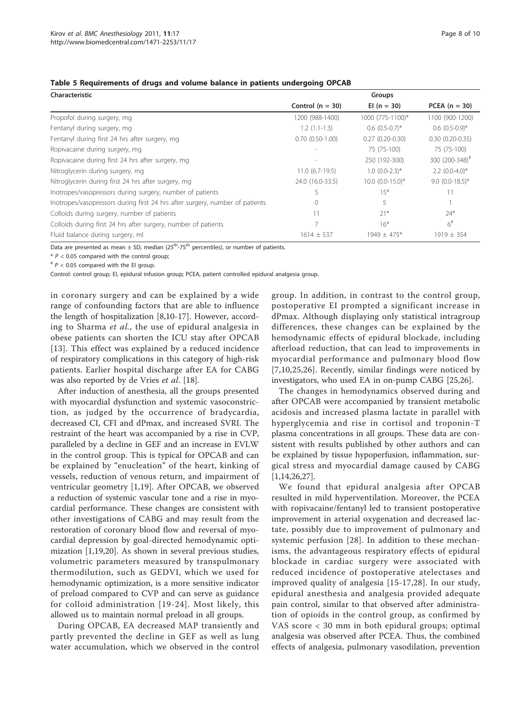<span id="page-7-0"></span>

| Table 5 Requirements of drugs and volume balance in patients undergoing OPCAB |  |  |  |  |
|-------------------------------------------------------------------------------|--|--|--|--|
|-------------------------------------------------------------------------------|--|--|--|--|

| Characteristic                                                               | Groups               |                       |                                |  |
|------------------------------------------------------------------------------|----------------------|-----------------------|--------------------------------|--|
|                                                                              | Control ( $n = 30$ ) | EI ( $n = 30$ )       | PCEA $(n = 30)$                |  |
| Propofol during surgery, mg                                                  | 1200 (988-1400)      | 1000 (775-1100)*      | 1100 (900-1200)                |  |
| Fentanyl during surgery, mg                                                  | $1.2(1.1-1.3)$       | $0.6$ $(0.5-0.7)$ *   | $0.6$ $(0.5-0.9)$ <sup>*</sup> |  |
| Fentanyl during first 24 hrs after surgery, mg                               | $0.70(0.50-1.00)$    | $0.27(0.20-0.30)$     | $0.30(0.20-0.35)$              |  |
| Ropivacaine during surgery, mg                                               |                      | 75 (75-100)           | 75 (75-100)                    |  |
| Ropivacaine during first 24 hrs after surgery, mg                            |                      | 250 (192-300)         | 300 (200-348) <sup>#</sup>     |  |
| Nitroglycerin during surgery, mg                                             | $11.0(6.7-19.5)$     | $1.0 (0.0-2.3)^*$     | $2.2$ (0.0-4.0)*               |  |
| Nitroglycerin during first 24 hrs after surgery, mg                          | 24.0 (16.0-33.5)     | $10.0 (0.0 - 15.0)^*$ | $9.0 (0.0 - 18.5)^*$           |  |
| Inotropes/vasopressors during surgery, number of patients                    |                      | $15*$                 | 11                             |  |
| Inotropes/vasopressors during first 24 hrs after surgery, number of patients | $\Omega$             | 5                     |                                |  |
| Colloids during surgery, number of patients                                  | 11                   | $21*$                 | $74*$                          |  |
| Colloids during first 24 hrs after surgery, number of patients               |                      | $16*$                 | $6^{\#}$                       |  |
| Fluid balance during surgery, ml                                             | $1614 \pm 537$       | $1949 \pm 475*$       | $1919 \pm 354$                 |  |

Data are presented as mean  $\pm$  SD, median (25<sup>th</sup>-75<sup>th</sup> percentiles), or number of patients.

 $* P < 0.05$  compared with the control group;

 $P < 0.05$  compared with the EI group.

Control: control group; EI, epidural infusion group; PCEA, patient controlled epidural analgesia group.

in coronary surgery and can be explained by a wide range of confounding factors that are able to influence the length of hospitalization [\[8,10-17](#page-9-0)]. However, according to Sharma et al., the use of epidural analgesia in obese patients can shorten the ICU stay after OPCAB [[13](#page-9-0)]. This effect was explained by a reduced incidence of respiratory complications in this category of high-risk patients. Earlier hospital discharge after EA for CABG was also reported by de Vries et al. [[18](#page-9-0)].

After induction of anesthesia, all the groups presented with myocardial dysfunction and systemic vasoconstriction, as judged by the occurrence of bradycardia, decreased CI, CFI and dPmax, and increased SVRI. The restraint of the heart was accompanied by a rise in CVP, paralleled by a decline in GEF and an increase in EVLW in the control group. This is typical for OPCAB and can be explained by "enucleation" of the heart, kinking of vessels, reduction of venous return, and impairment of ventricular geometry [[1](#page-8-0)[,19](#page-9-0)]. After OPCAB, we observed a reduction of systemic vascular tone and a rise in myocardial performance. These changes are consistent with other investigations of CABG and may result from the restoration of coronary blood flow and reversal of myocardial depression by goal-directed hemodynamic optimization [[1,](#page-8-0)[19,20\]](#page-9-0). As shown in several previous studies, volumetric parameters measured by transpulmonary thermodilution, such as GEDVI, which we used for hemodynamic optimization, is a more sensitive indicator of preload compared to CVP and can serve as guidance for colloid administration [[19](#page-9-0)-[24\]](#page-9-0). Most likely, this allowed us to maintain normal preload in all groups.

During OPCAB, EA decreased MAP transiently and partly prevented the decline in GEF as well as lung water accumulation, which we observed in the control

group. In addition, in contrast to the control group, postoperative EI prompted a significant increase in dPmax. Although displaying only statistical intragroup differences, these changes can be explained by the hemodynamic effects of epidural blockade, including afterload reduction, that can lead to improvements in myocardial performance and pulmonary blood flow [[7,10,25,26](#page-9-0)]. Recently, similar findings were noticed by investigators, who used EA in on-pump CABG [\[25,26\]](#page-9-0).

The changes in hemodynamics observed during and after OPCAB were accompanied by transient metabolic acidosis and increased plasma lactate in parallel with hyperglycemia and rise in cortisol and troponin-T plasma concentrations in all groups. These data are consistent with results published by other authors and can be explained by tissue hypoperfusion, inflammation, surgical stress and myocardial damage caused by CABG [[1,](#page-8-0)[14,26,27](#page-9-0)].

We found that epidural analgesia after OPCAB resulted in mild hyperventilation. Moreover, the PCEA with ropivacaine/fentanyl led to transient postoperative improvement in arterial oxygenation and decreased lactate, possibly due to improvement of pulmonary and systemic perfusion [[28](#page-9-0)]. In addition to these mechanisms, the advantageous respiratory effects of epidural blockade in cardiac surgery were associated with reduced incidence of postoperative atelectases and improved quality of analgesia [\[15-17](#page-9-0),[28\]](#page-9-0). In our study, epidural anesthesia and analgesia provided adequate pain control, similar to that observed after administration of opioids in the control group, as confirmed by VAS score < 30 mm in both epidural groups; optimal analgesia was observed after PCEA. Thus, the combined effects of analgesia, pulmonary vasodilation, prevention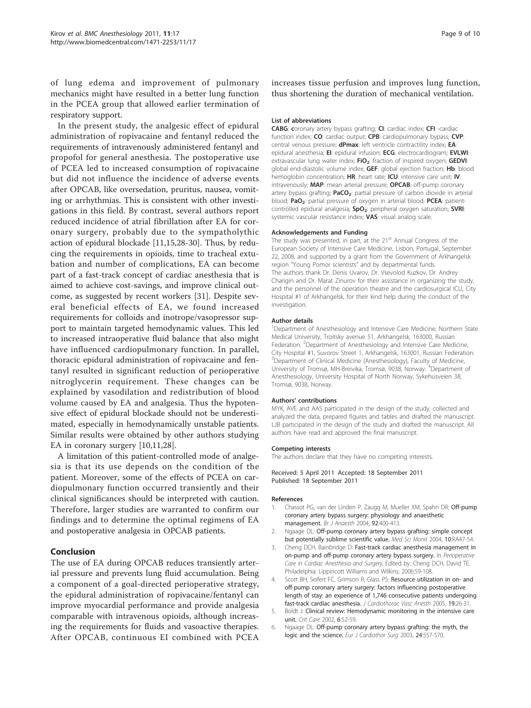<span id="page-8-0"></span>of lung edema and improvement of pulmonary mechanics might have resulted in a better lung function in the PCEA group that allowed earlier termination of respiratory support.

In the present study, the analgesic effect of epidural administration of ropivacaine and fentanyl reduced the requirements of intravenously administered fentanyl and propofol for general anesthesia. The postoperative use of PCEA led to increased consumption of ropivacaine but did not influence the incidence of adverse events after OPCAB, like oversedation, pruritus, nausea, vomiting or arrhythmias. This is consistent with other investigations in this field. By contrast, several authors report reduced incidence of atrial fibrillation after EA for coronary surgery, probably due to the sympatholythic action of epidural blockade [\[11,15,28-30](#page-9-0)]. Thus, by reducing the requirements in opioids, time to tracheal extubation and number of complications, EA can become part of a fast-track concept of cardiac anesthesia that is aimed to achieve cost-savings, and improve clinical outcome, as suggested by recent workers [[31\]](#page-9-0). Despite several beneficial effects of EA, we found increased requirements for colloids and inotrope/vasopressor support to maintain targeted hemodynamic values. This led to increased intraoperative fluid balance that also might have influenced cardiopulmonary function. In parallel, thoracic epidural administration of ropivacaine and fentanyl resulted in significant reduction of perioperative nitroglycerin requirement. These changes can be explained by vasodilation and redistribution of blood volume caused by EA and analgesia. Thus the hypotensive effect of epidural blockade should not be underestimated, especially in hemodynamically unstable patients. Similar results were obtained by other authors studying EA in coronary surgery [[10,11,28\]](#page-9-0).

A limitation of this patient-controlled mode of analgesia is that its use depends on the condition of the patient. Moreover, some of the effects of PCEA on cardiopulmonary function occurred transiently and their clinical significances should be interpreted with caution. Therefore, larger studies are warranted to confirm our findings and to determine the optimal regimens of EA and postoperative analgesia in OPCAB patients.

## Conclusion

The use of EA during OPCAB reduces transiently arterial pressure and prevents lung fluid accumulation. Being a component of a goal-directed perioperative strategy, the epidural administration of ropivacaine/fentanyl can improve myocardial performance and provide analgesia comparable with intravenous opioids, although increasing the requirements for fluids and vasoactive therapies. After OPCAB, continuous EI combined with PCEA increases tissue perfusion and improves lung function, thus shortening the duration of mechanical ventilation.

#### List of abbreviations

CABG: coronary artery bypass grafting; CI: cardiac index; CFI -cardiac function index; CO: cardiac output; CPB: cardiopulmonary bypass; CVP central venous pressure; dPmax: left ventricle contractility index; EA: epidural anesthesia; EI: epidural infusion; ECG: electrocardiogram; EVLWI: extravascular lung water index; FiO<sub>2</sub>: fraction of inspired oxygen; GEDVI: global end-diastolic volume index; GEF: global ejection fraction; Hb: blood hemoglobin concentration; HR: heart rate; ICU: intensive care unit; IV: intravenously; MAP: mean arterial pressure; OPCAB: off-pump coronary artery bypass grafting; PaCO<sub>2</sub>: partial pressure of carbon dioxide in arterial blood; PaO<sub>2</sub>: partial pressure of oxygen in arterial blood; PCEA: patientcontrolled epidural analgesia; SpO<sub>2</sub>: peripheral oxygen saturation; SVRI: systemic vascular resistance index; VAS: visual analog scale.

#### Acknowledgements and Funding

The study was presented, in part, at the 21<sup>st</sup> Annual Congress of the European Society of Intensive Care Medicine, Lisbon, Portugal, September 22, 2008, and supported by a grant from the Government of Arkhangelsk region "Young Pomor scientists" and by departmental funds. The authors thank Dr. Denis Uvarov, Dr. Vsevolod Kuzkov, Dr. Andrey Charigin and Dr. Marat Zinurov for their assistance in organizing the study, and the personnel of the operation theatre and the cardiosurgical ICU, City Hospital #1 of Arkhangelsk, for their kind help during the conduct of the investigation.

#### Author details

<sup>1</sup>Department of Anesthesiology and Intensive Care Medicine, Northern State Medical University, Troitsky avenue 51, Arkhangelsk, 163000, Russian Federation. <sup>2</sup>Department of Anesthesiology and Intensive Care Medicine, City Hospital #1, Suvorov Street 1, Arkhangelsk, 163001, Russian Federation. <sup>3</sup>Department of Clinical Medicine (Anesthesiology), Faculty of Medicine University of Tromsø, MH-Breivika, Tromsø, 9038, Norway. <sup>4</sup> Department of Anesthesiology, University Hospital of North Norway, Sykehusveien 38, Tromsø, 9038, Norway.

#### Authors' contributions

MYK, AVE and AAS participated in the design of the study, collected and analyzed the data, prepared figures and tables and drafted the manuscript. LJB participated in the design of the study and drafted the manuscript. All authors have read and approved the final manuscript.

#### Competing interests

The authors declare that they have no competing interests.

#### Received: 5 April 2011 Accepted: 18 September 2011 Published: 18 September 2011

#### References

- 1. Chassot PG, van der Linden P, Zaugg M, Mueller XM, Spahn DR: [Off-pump](http://www.ncbi.nlm.nih.gov/pubmed/14970136?dopt=Abstract) [coronary artery bypass surgery: physiology and anaesthetic](http://www.ncbi.nlm.nih.gov/pubmed/14970136?dopt=Abstract) [management.](http://www.ncbi.nlm.nih.gov/pubmed/14970136?dopt=Abstract) Br J Anaesth 2004, 92:400-413.
- 2. Ngaage DL: [Off-pump coronary artery bypass grafting: simple concept](http://www.ncbi.nlm.nih.gov/pubmed/14976442?dopt=Abstract) [but potentially sublime scientific value.](http://www.ncbi.nlm.nih.gov/pubmed/14976442?dopt=Abstract) Med Sci Monit 2004, 10:RA47-54.
- 3. Cheng DCH, Bainbridge D: Fast-track cardiac anesthesia management in on-pump and off-pump coronary artery bypass surgery. In Perioperative Care in Cardiac Anesthesia and Surgery. Edited by: Cheng DCH, David TE. Philadelphia: Lippincott Williams and Wilkins; 2006:59-108.
- 4. Scott BH, Seifert FC, Grimson R, Glass PS: [Resource utilization in on- and](http://www.ncbi.nlm.nih.gov/pubmed/15747265?dopt=Abstract) [off-pump coronary artery surgery: factors influencing postoperative](http://www.ncbi.nlm.nih.gov/pubmed/15747265?dopt=Abstract) [length of stay: an experience of 1,746 consecutive patients undergoing](http://www.ncbi.nlm.nih.gov/pubmed/15747265?dopt=Abstract) [fast-track cardiac anesthesia.](http://www.ncbi.nlm.nih.gov/pubmed/15747265?dopt=Abstract) J Cardiothorac Vasc Anesth 2005, 19:26-31.
- 5. Boldt J: [Clinical review: Hemodynamic monitoring in the intensive care](http://www.ncbi.nlm.nih.gov/pubmed/11940266?dopt=Abstract) [unit.](http://www.ncbi.nlm.nih.gov/pubmed/11940266?dopt=Abstract) Crit Care 2002, 6:52-59.
- 6. Ngaage DL: Off-pump coronary artery bypass grafting: the myth, the logic and the science. Eur J Cardiothor Sura 2003, 24:557-570.